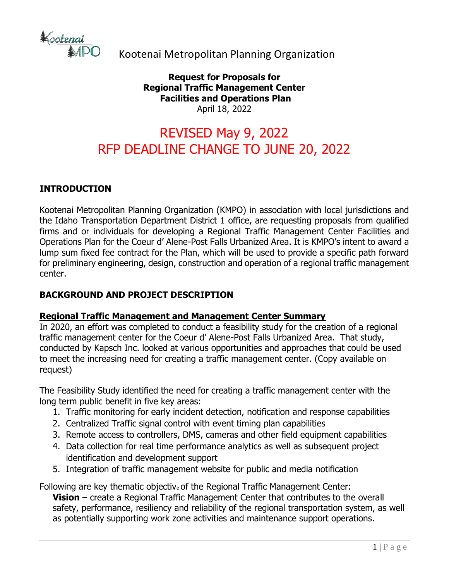

Kootenai Metropolitan Planning Organization

**Request for Proposals for Regional Traffic Management Center Facilities and Operations Plan** April 18, 2022

# REVISED May 9, 2022 RFP DEADLINE CHANGE TO JUNE 20, 2022

#### **INTRODUCTION**

Kootenai Metropolitan Planning Organization (KMPO) in association with local jurisdictions and the Idaho Transportation Department District 1 office, are requesting proposals from qualified firms and or individuals for developing a Regional Traffic Management Center Facilities and Operations Plan for the Coeur d' Alene-Post Falls Urbanized Area. It is KMPO's intent to award a lump sum fixed fee contract for the Plan, which will be used to provide a specific path forward for preliminary engineering, design, construction and operation of a regional traffic management center.

#### **BACKGROUND AND PROJECT DESCRIPTION**

#### **Regional Traffic Management and Management Center Summary**

In 2020, an effort was completed to conduct a feasibility study for the creation of a regional traffic management center for the Coeur d' Alene-Post Falls Urbanized Area. That study, conducted by Kapsch Inc. looked at various opportunities and approaches that could be used to meet the increasing need for creating a traffic management center. (Copy available on request)

The Feasibility Study identified the need for creating a traffic management center with the long term public benefit in five key areas:

- 1. Traffic monitoring for early incident detection, notification and response capabilities
- 2. Centralized Traffic signal control with event timing plan capabilities
- 3. Remote access to controllers, DMS, cameras and other field equipment capabilities
- 4. Data collection for real time performance analytics as well as subsequent project identification and development support
- 5. Integration of traffic management website for public and media notification

Following are key thematic objective of the Regional Traffic Management Center: **Vision** – create a Regional Traffic Management Center that contributes to the overall safety, performance, resiliency and reliability of the regional transportation system, as well as potentially supporting work zone activities and maintenance support operations.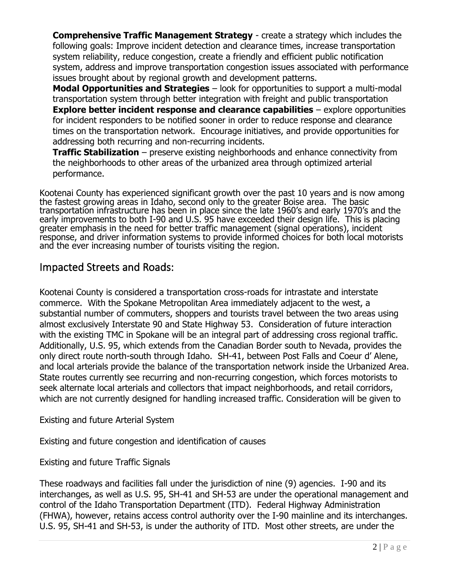**Comprehensive Traffic Management Strategy** - create a strategy which includes the following goals: Improve incident detection and clearance times, increase transportation system reliability, reduce congestion, create a friendly and efficient public notification system, address and improve transportation congestion issues associated with performance issues brought about by regional growth and development patterns.

**Modal Opportunities and Strategies** – look for opportunities to support a multi-modal transportation system through better integration with freight and public transportation **Explore better incident response and clearance capabilities** – explore opportunities for incident responders to be notified sooner in order to reduce response and clearance times on the transportation network. Encourage initiatives, and provide opportunities for addressing both recurring and non-recurring incidents.

**Traffic Stabilization** – preserve existing neighborhoods and enhance connectivity from the neighborhoods to other areas of the urbanized area through optimized arterial performance.

Kootenai County has experienced significant growth over the past 10 years and is now among the fastest growing areas in Idaho, second only to the greater Boise area. The basic transportation infrastructure has been in place since the late 1960's and early 1970's and the early improvements to both I-90 and U.S. 95 have exceeded their design life. This is placing greater emphasis in the need for better traffic management (signal operations), incident response, and driver information systems to provide informed choices for both local motorists and the ever increasing number of tourists visiting the region.

## Impacted Streets and Roads:

Kootenai County is considered a transportation cross-roads for intrastate and interstate commerce. With the Spokane Metropolitan Area immediately adjacent to the west, a substantial number of commuters, shoppers and tourists travel between the two areas using almost exclusively Interstate 90 and State Highway 53. Consideration of future interaction with the existing TMC in Spokane will be an integral part of addressing cross regional traffic. Additionally, U.S. 95, which extends from the Canadian Border south to Nevada, provides the only direct route north-south through Idaho. SH-41, between Post Falls and Coeur d' Alene, and local arterials provide the balance of the transportation network inside the Urbanized Area. State routes currently see recurring and non-recurring congestion, which forces motorists to seek alternate local arterials and collectors that impact neighborhoods, and retail corridors, which are not currently designed for handling increased traffic. Consideration will be given to

Existing and future Arterial System

Existing and future congestion and identification of causes

Existing and future Traffic Signals

These roadways and facilities fall under the jurisdiction of nine (9) agencies. I-90 and its interchanges, as well as U.S. 95, SH-41 and SH-53 are under the operational management and control of the Idaho Transportation Department (ITD). Federal Highway Administration (FHWA), however, retains access control authority over the I-90 mainline and its interchanges. U.S. 95, SH-41 and SH-53, is under the authority of ITD. Most other streets, are under the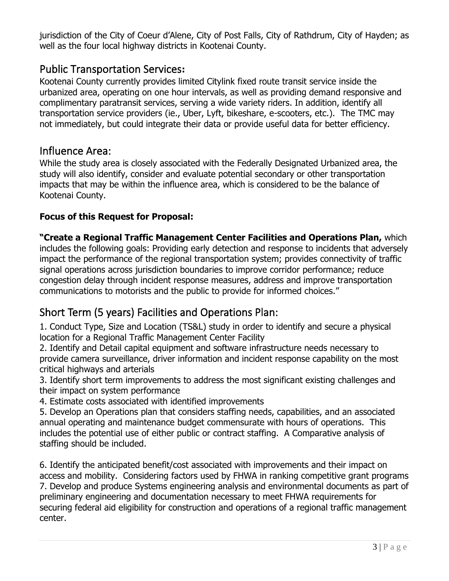jurisdiction of the City of Coeur d'Alene, City of Post Falls, City of Rathdrum, City of Hayden; as well as the four local highway districts in Kootenai County.

## Public Transportation Services**:**

Kootenai County currently provides limited Citylink fixed route transit service inside the urbanized area, operating on one hour intervals, as well as providing demand responsive and complimentary paratransit services, serving a wide variety riders. In addition, identify all transportation service providers (ie., Uber, Lyft, bikeshare, e-scooters, etc.). The TMC may not immediately, but could integrate their data or provide useful data for better efficiency.

## Influence Area:

While the study area is closely associated with the Federally Designated Urbanized area, the study will also identify, consider and evaluate potential secondary or other transportation impacts that may be within the influence area, which is considered to be the balance of Kootenai County.

#### **Focus of this Request for Proposal:**

**"Create a Regional Traffic Management Center Facilities and Operations Plan,** which includes the following goals: Providing early detection and response to incidents that adversely impact the performance of the regional transportation system; provides connectivity of traffic signal operations across jurisdiction boundaries to improve corridor performance; reduce congestion delay through incident response measures, address and improve transportation communications to motorists and the public to provide for informed choices."

# Short Term (5 years) Facilities and Operations Plan:

1. Conduct Type, Size and Location (TS&L) study in order to identify and secure a physical location for a Regional Traffic Management Center Facility

2. Identify and Detail capital equipment and software infrastructure needs necessary to provide camera surveillance, driver information and incident response capability on the most critical highways and arterials

3. Identify short term improvements to address the most significant existing challenges and their impact on system performance

4. Estimate costs associated with identified improvements

5. Develop an Operations plan that considers staffing needs, capabilities, and an associated annual operating and maintenance budget commensurate with hours of operations. This includes the potential use of either public or contract staffing. A Comparative analysis of staffing should be included.

6. Identify the anticipated benefit/cost associated with improvements and their impact on access and mobility. Considering factors used by FHWA in ranking competitive grant programs 7. Develop and produce Systems engineering analysis and environmental documents as part of preliminary engineering and documentation necessary to meet FHWA requirements for securing federal aid eligibility for construction and operations of a regional traffic management center.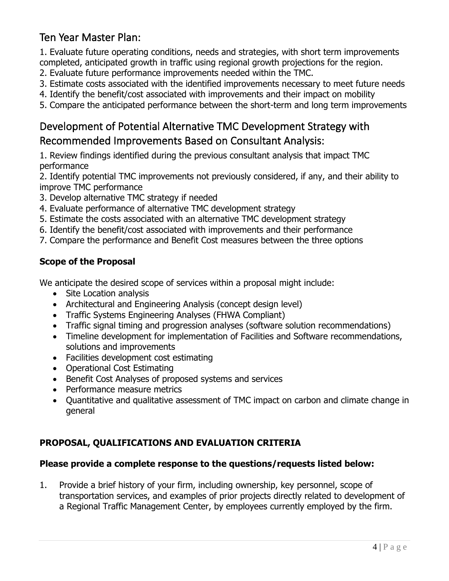# Ten Year Master Plan:

1. Evaluate future operating conditions, needs and strategies, with short term improvements completed, anticipated growth in traffic using regional growth projections for the region.

- 2. Evaluate future performance improvements needed within the TMC.
- 3. Estimate costs associated with the identified improvements necessary to meet future needs
- 4. Identify the benefit/cost associated with improvements and their impact on mobility
- 5. Compare the anticipated performance between the short-term and long term improvements

# Development of Potential Alternative TMC Development Strategy with Recommended Improvements Based on Consultant Analysis:

1. Review findings identified during the previous consultant analysis that impact TMC performance

2. Identify potential TMC improvements not previously considered, if any, and their ability to improve TMC performance

- 3. Develop alternative TMC strategy if needed
- 4. Evaluate performance of alternative TMC development strategy
- 5. Estimate the costs associated with an alternative TMC development strategy
- 6. Identify the benefit/cost associated with improvements and their performance
- 7. Compare the performance and Benefit Cost measures between the three options

#### **Scope of the Proposal**

We anticipate the desired scope of services within a proposal might include:

- Site Location analysis
- Architectural and Engineering Analysis (concept design level)
- Traffic Systems Engineering Analyses (FHWA Compliant)
- Traffic signal timing and progression analyses (software solution recommendations)
- Timeline development for implementation of Facilities and Software recommendations, solutions and improvements
- Facilities development cost estimating
- Operational Cost Estimating
- Benefit Cost Analyses of proposed systems and services
- Performance measure metrics
- Quantitative and qualitative assessment of TMC impact on carbon and climate change in general

## **PROPOSAL, QUALIFICATIONS AND EVALUATION CRITERIA**

#### **Please provide a complete response to the questions/requests listed below:**

1. Provide a brief history of your firm, including ownership, key personnel, scope of transportation services, and examples of prior projects directly related to development of a Regional Traffic Management Center, by employees currently employed by the firm.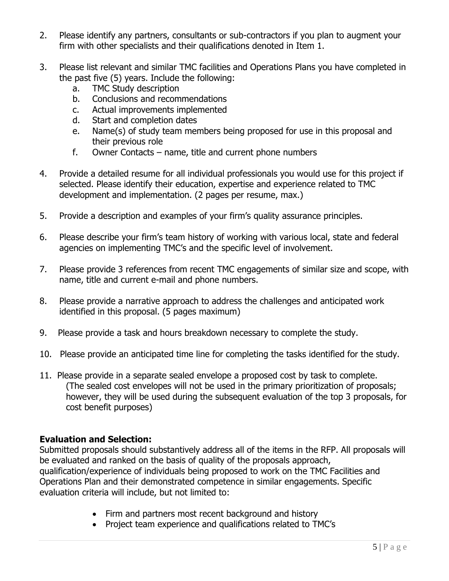- 2. Please identify any partners, consultants or sub-contractors if you plan to augment your firm with other specialists and their qualifications denoted in Item 1.
- 3. Please list relevant and similar TMC facilities and Operations Plans you have completed in the past five (5) years. Include the following:
	- a. TMC Study description
	- b. Conclusions and recommendations
	- c. Actual improvements implemented
	- d. Start and completion dates
	- e. Name(s) of study team members being proposed for use in this proposal and their previous role
	- f. Owner Contacts name, title and current phone numbers
- 4. Provide a detailed resume for all individual professionals you would use for this project if selected. Please identify their education, expertise and experience related to TMC development and implementation. (2 pages per resume, max.)
- 5. Provide a description and examples of your firm's quality assurance principles.
- 6. Please describe your firm's team history of working with various local, state and federal agencies on implementing TMC's and the specific level of involvement.
- 7. Please provide 3 references from recent TMC engagements of similar size and scope, with name, title and current e-mail and phone numbers.
- 8. Please provide a narrative approach to address the challenges and anticipated work identified in this proposal. (5 pages maximum)
- 9. Please provide a task and hours breakdown necessary to complete the study.
- 10. Please provide an anticipated time line for completing the tasks identified for the study.
- 11. Please provide in a separate sealed envelope a proposed cost by task to complete. (The sealed cost envelopes will not be used in the primary prioritization of proposals; however, they will be used during the subsequent evaluation of the top 3 proposals, for cost benefit purposes)

#### **Evaluation and Selection:**

Submitted proposals should substantively address all of the items in the RFP. All proposals will be evaluated and ranked on the basis of quality of the proposals approach, qualification/experience of individuals being proposed to work on the TMC Facilities and Operations Plan and their demonstrated competence in similar engagements. Specific evaluation criteria will include, but not limited to:

- Firm and partners most recent background and history
- Project team experience and qualifications related to TMC's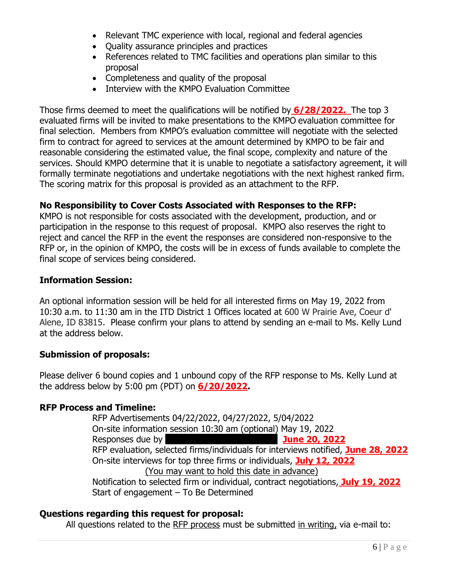- Relevant TMC experience with local, regional and federal agencies
- Quality assurance principles and practices
- References related to TMC facilities and operations plan similar to this proposal
- Completeness and quality of the proposal
- Interview with the KMPO Evaluation Committee

Those firms deemed to meet the qualifications will be notified by **6/28/2022.** The top 3 evaluated firms will be invited to make presentations to the KMPO evaluation committee for final selection. Members from KMPO's evaluation committee will negotiate with the selected firm to contract for agreed to services at the amount determined by KMPO to be fair and reasonable considering the estimated value, the final scope, complexity and nature of the services. Should KMPO determine that it is unable to negotiate a satisfactory agreement, it will formally terminate negotiations and undertake negotiations with the next highest ranked firm. The scoring matrix for this proposal is provided as an attachment to the RFP.

#### **No Responsibility to Cover Costs Associated with Responses to the RFP:**

KMPO is not responsible for costs associated with the development, production, and or participation in the response to this request of proposal. KMPO also reserves the right to reject and cancel the RFP in the event the responses are considered non-responsive to the RFP or, in the opinion of KMPO, the costs will be in excess of funds available to complete the final scope of services being considered.

#### **Information Session:**

An optional information session will be held for all interested firms on May 19, 2022 from 10:30 a.m. to 11:30 am in the ITD District 1 Offices located at 600 W Prairie Ave, Coeur d' Alene, ID 83815. Please confirm your plans to attend by sending an e-mail to Ms. Kelly Lund at the address below.

#### **Submission of proposals:**

Please deliver 6 bound copies and 1 unbound copy of the RFP response to Ms. Kelly Lund at the address below by 5:00 pm (PDT) on **6/20/2022.**

#### **RFP Process and Timeline:**

RFP Advertisements 04/22/2022, 04/27/2022, 5/04/2022 On-site information session 10:30 am (optional) May 19, 2022 Responses due by May 20, 2022 **June 20, 2022** RFP evaluation, selected firms/individuals for interviews notified, **June 28, 2022** On-site interviews for top three firms or individuals, **July 12, 2022** (You may want to hold this date in advance) Notification to selected firm or individual, contract negotiations, **July 19, 2022**  Start of engagement – To Be Determined

#### **Questions regarding this request for proposal:**

All questions related to the RFP process must be submitted in writing, via e-mail to: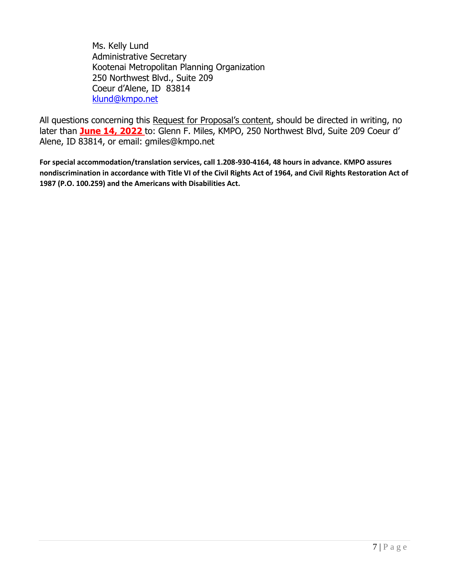Ms. Kelly Lund Administrative Secretary Kootenai Metropolitan Planning Organization 250 Northwest Blvd., Suite 209 Coeur d'Alene, ID 83814 [klund@kmpo.net](mailto:klund@kmpo.net)

All questions concerning this Request for Proposal's content, should be directed in writing, no later than **June 14, 2022** to: Glenn F. Miles, KMPO, 250 Northwest Blvd, Suite 209 Coeur d' Alene, ID 83814, or email: gmiles@kmpo.net

**For special accommodation/translation services, call 1.208-930-4164, 48 hours in advance. KMPO assures nondiscrimination in accordance with Title VI of the Civil Rights Act of 1964, and Civil Rights Restoration Act of 1987 (P.O. 100.259) and the Americans with Disabilities Act.**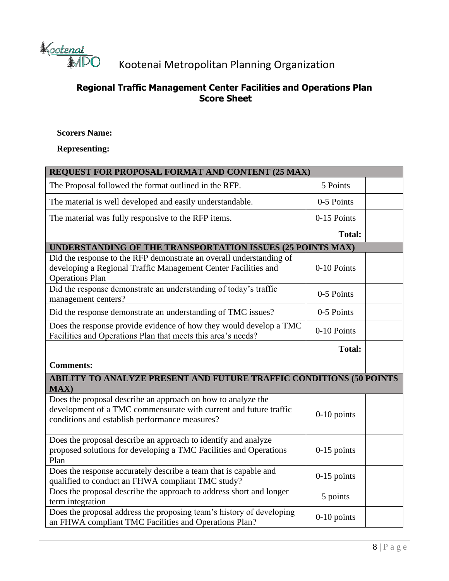

# Kootenai Metropolitan Planning Organization

## **Regional Traffic Management Center Facilities and Operations Plan Score Sheet**

#### **Scorers Name:**

#### **Representing:**

| REQUEST FOR PROPOSAL FORMAT AND CONTENT (25 MAX)                                                                                                                                    |               |  |  |
|-------------------------------------------------------------------------------------------------------------------------------------------------------------------------------------|---------------|--|--|
| The Proposal followed the format outlined in the RFP.                                                                                                                               | 5 Points      |  |  |
| The material is well developed and easily understandable.                                                                                                                           | 0-5 Points    |  |  |
| The material was fully responsive to the RFP items.                                                                                                                                 | 0-15 Points   |  |  |
|                                                                                                                                                                                     | <b>Total:</b> |  |  |
| UNDERSTANDING OF THE TRANSPORTATION ISSUES (25 POINTS MAX)                                                                                                                          |               |  |  |
| Did the response to the RFP demonstrate an overall understanding of<br>developing a Regional Traffic Management Center Facilities and<br><b>Operations Plan</b>                     | 0-10 Points   |  |  |
| Did the response demonstrate an understanding of today's traffic<br>management centers?                                                                                             | 0-5 Points    |  |  |
| Did the response demonstrate an understanding of TMC issues?                                                                                                                        | 0-5 Points    |  |  |
| Does the response provide evidence of how they would develop a TMC<br>Facilities and Operations Plan that meets this area's needs?                                                  | 0-10 Points   |  |  |
|                                                                                                                                                                                     | <b>Total:</b> |  |  |
| <b>Comments:</b>                                                                                                                                                                    |               |  |  |
| ABILITY TO ANALYZE PRESENT AND FUTURE TRAFFIC CONDITIONS (50 POINTS<br><b>MAX</b> )                                                                                                 |               |  |  |
| Does the proposal describe an approach on how to analyze the<br>development of a TMC commensurate with current and future traffic<br>conditions and establish performance measures? | $0-10$ points |  |  |
| Does the proposal describe an approach to identify and analyze<br>proposed solutions for developing a TMC Facilities and Operations<br>Plan                                         | $0-15$ points |  |  |
| Does the response accurately describe a team that is capable and<br>qualified to conduct an FHWA compliant TMC study?                                                               | $0-15$ points |  |  |
| Does the proposal describe the approach to address short and longer<br>term integration                                                                                             | 5 points      |  |  |
| Does the proposal address the proposing team's history of developing<br>an FHWA compliant TMC Facilities and Operations Plan?                                                       | $0-10$ points |  |  |